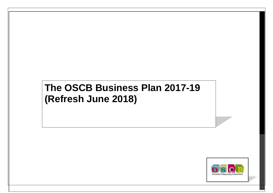# **The OSCB Business Plan 2017-19 (Refresh June 2018)**

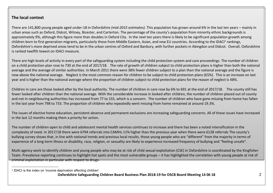## **The local context**

There are 141,800 young people aged under-18 in Oxfordshire *(mid-2015 estimates)*. This population has grown around 6% in the last ten years – mainly in urban areas such as Oxford, Didcot, Witney, Bicester, and Carterton. The percentage of the county's population from minority ethnic backgrounds is approximately 9%, although this figure more than doubles in Oxford City. In the next ten years there is likely to be significant population growth among children born to first generation migrants, particularly those from Middle Eastern, Asian, and new EU countries. According to the IDACI<sup>1</sup> rankings, Oxfordshire's more deprived areas tend to be in the urban centres of Oxford and Banbury, with further pockets in Abingdon and Didcot. Overall, Oxfordshire is ranked twelfth lowest on IDACI measure.

There are high levels of activity in every part of the safeguarding system including the child protection system and care proceedings. The number of children on a child protection plan rose to 730 at the end of 2017/18. The rate of growth of children subject to child protection plans is higher than both the national average and the average of similar authorities. In March 2011 there were 38% fewer children subject to a plan than the national average and the figure is now above the national average. Neglect is the most common reason for children to be subject to child protection plans (65%). This is an increase on last year and is higher than the national average where the proportion of children subject to child protection plans for the reason of neglect is 48%.

Children in care are those looked after by the local authority. The number of children in care rose by 6% to 691 at the end of 2017/18. The county still has fewer looked after children than the national average. With the considerable increase in looked after children, the number of children placed out of county and not in neighbouring authorities has increased from 77 to 155, which is a concern. The number of children who have gone missing from home has fallen in the last year from 798 to 733. The proportion of children who repeatedly went missing from home remained at around 19.3%.

The issues of elective home education, persistent absence and permanent exclusions are increasing safeguarding concerns. All of these issues have increased in the last 12 months making them a priority for action.

The number of children open to child and adolescent mental health services continues to increase and there has been a noted intensification in the complexity of need. In 2017/18 there were 6794 referrals into CAMHs 11% higher than the previous year when there were 6128 referrals The county's bullying survey shows that, in line with national trends and previous local results, those young people who are "different" from the majority in terms of experience of a long-term illness or disability, race, religion, or sexuality are likely to experience increased frequency of bullying and "feeling unsafe".

Multi-agency work to identify children and young people who may be at risk of child sexual exploitation (CSE) in Oxfordshire is coordinated by the Kingfisher Team. Prevalence reporting continues to highlight hot spots and the most vulnerable groups – it has highlighted the correlation with young people at risk of criminal exploitation in particular with respect to drugs.

<sup>1</sup> <sup>1</sup> IDACI is the index on 'income deprivation affecting children'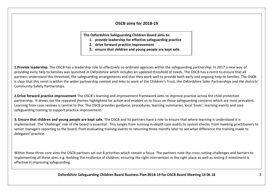## **OSCB aims for 2018-19**

**The Oxfordshire Safeguarding Children Board aims to:** 

- **1. provide leadership for effective safeguarding practice**
- **2. drive forward practice improvement**
- **3. ensure that children and young people are kept safe.**

**1.Provide leadership.** The OSCB has a leadership role to effectively co-ordinate agencies within the safeguarding partnership. In 2017 a new way of providing early help to families was launched in Oxfordshire which includes an updated threshold of needs. The OSCB has a remit to ensure that all partners understand this threshold, the safeguarding arrangements and that they work well to provide both early and ongoing help to families. The OSCB is clear that this remit is within the wider partnership context and links to work of the Children's Trust, the Oxfordshire Safer Partnerships and the districts' Community Safety Partnerships.

**2.Drive forward practice improvement** The OSCB's learning and improvement framework aims to improve practice across the child protection partnership. It draws out the repeated themes highlighted for action and enables us to focus on those safeguarding concerns which are most prevalent. Learning from case reviews is central to this. The OSCB provides guidance, procedures, learning summaries, local 'tools', learning events and core safeguarding training to support practice improvement.

**3. Ensure that children and young people are kept safe.** The OSCB and its partners have a role to ensure that where learning is understood it is implemented. The 'challenge' role of the board is essential. This ranges from running in-depth case audits to system checks, from meeting practitioners to senior managers reporting to the board, from evaluating training events to returning three months later to see what difference the training made to delegates' practice.

Within these three core aims the OSCB partners set out 8 priorities which remain a focus. The partners note the cross cutting challenges and barriers to implementing all these aims e.g. building the resilience of children; ensuring the right intervention in the right place as well as testing if investment is effective in improving safeguarding.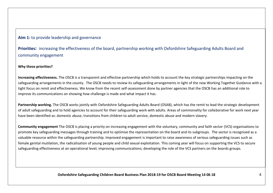### **Aim 1:** to provide leadership and governance

**Priorities:** increasing the effectiveness of the board, partnership working with Oxfordshire Safeguarding Adults Board and community engagement

#### **Why these priorities?**

**Increasing effectiveness.** The OSCB is a transparent and effective partnership which holds to account the key strategic partnerships impacting on the safeguarding arrangements in the county. The OSCB needs to review its safeguarding arrangements in light of the new Working Together Guidance with a tight focus on remit and effectiveness. We know from the recent self-assessment done by partner agencies that the OSCB has an additional role to improve its communications on showing how challenge is made and what impact it has.

**Partnership working.** The OSCB works jointly with Oxfordshire Safeguarding Adults Board (OSAB), which has the remit to lead the strategic development of adult safeguarding and to hold agencies to account for their safeguarding work with adults. Areas of commonality for collaborative for work next year have been identified as: domestic abuse, transitions from children to adult service, domestic abuse and modern slavery.

**Community engagement** The OSCB is placing a priority on increasing engagement with the voluntary, community and faith sector (VCS) organisations to promote key safeguarding messages through training and to optimise the representation on the board and its subgroups. The sector is recognised as a valuable resource within the safeguarding partnership. Improved engagement is important to raise awareness of serious safeguarding issues such as female genital mutilation, the radicalisation of young people and child sexual exploitation. This coming year will focus on supporting the VCS to secure safeguarding effectiveness at an operational level; improving communications; developing the role of the VCS partners on the boards groups.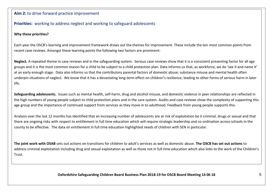## **Aim 2:** to drive forward practice improvement

## **Priorities:** working to address neglect and working to safeguard adolescents

## **Why these priorities?**

Each year the OSCB's learning and improvement framework draws out the themes for improvement. These include the ten most common points from recent case reviews. Amongst these learning points the following two factors are prominent:

**Neglect.** A repeated theme in case reviews and in the safeguarding system. Serious case reviews show that it is a consistent presenting factor for all age groups and it is the most common reason for a child to be subject to a child protection plan. Data informs us that, as workforce, we do 'see it and name it' at an early enough stage. Data also informs us that the contributory parental factors of domestic abuse; substance misuse and mental health often underpin situations of neglect. We know that it has a devastating long-term effect on children's resilience, leading to other forms of serious harm in later life.

**Safeguarding adolescents.** Issues such as mental health, self-harm, drug and alcohol misuse, and domestic violence in peer relationships are reflected in the high numbers of young people subject to child protection plans and in the care system. Audits and case reviews show the complexity of supporting this age group and the importance of continued support from services as they move in to adulthood. Feedback from young people supports this.

Analysis over the last 12 months has identified that an increasing number of adolescents are at risk of exploitation be it criminal, drugs or sexual and that there are ongoing risks with respect to entitlement in full time education which will require strategic leadership and co-ordination across schools in the county to be effective. The data on entitlement in full time education highlighted needs of children with SEN in particular.

**The joint work with OSAB** sets out actions on transitions for children to adult's services as well as domestic abuse. **The OSCB has set out actions** to address criminal exploitation including drug and sexual exploitation as well as those not in full time education which also links to the work of the Children's Trust.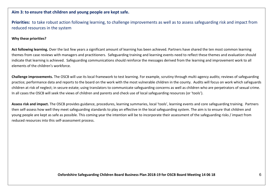#### **Aim 3: to ensure that children and young people are kept safe.**

**Priorities:** to take robust action following learning, to challenge improvements as well as to assess safeguarding risk and impact from reduced resources in the system

#### **Why these priorities?**

Act following learning. Over the last few years a significant amount of learning has been achieved. Partners have shared the ten most common learning themes from case reviews with managers and practitioners. Safeguarding training and learning events need to reflect these themes and evaluation should indicate that learning is achieved. Safeguarding communications should reinforce the messages derived from the learning and improvement work to all elements of the children's workforce.

**Challenge improvements.** The OSCB will use its local framework to test learning. For example, scrutiny through multi-agency audits; reviews of safeguarding practice; performance data and reports to the board on the work with the most vulnerable children in the county. Audits will focus on work which safeguards children at risk of neglect; in secure estate; using translators to communicate safeguarding concerns as well as children who are perpetrators of sexual crime. In all cases the OSCB will seek the views of children and parents and check use of local safeguarding resources (or 'tools').

**Assess risk and impact.** The OSCB provides guidance, procedures, learning summaries, local 'tools', learning events and core safeguarding training. Partners then self-assess how well they meet safeguarding standards to play an effective in the local safeguarding system. The aim is to ensure that children and young people are kept as safe as possible. This coming year the intention will be to incorporate their assessment of the safeguarding risks / impact from reduced resources into this self-assessment process.